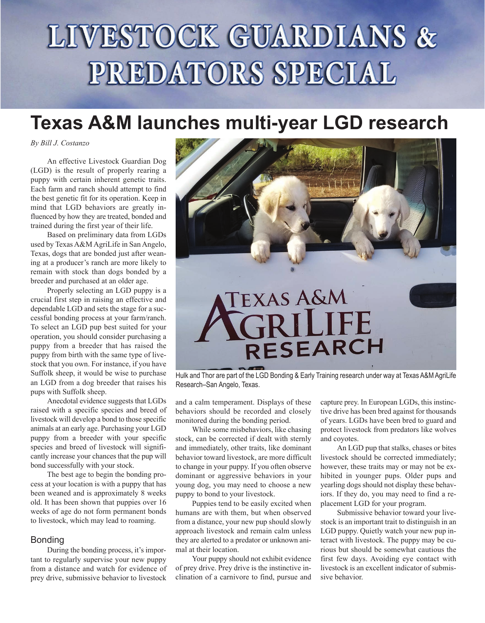# LIVESTOCK GUARDIANS & PREDATORS SPECIAL

# **Texas A&M launches multi-year LGD research**

*By Bill J. Costanzo*

An effective Livestock Guardian Dog (LGD) is the result of properly rearing a puppy with certain inherent genetic traits. Each farm and ranch should attempt to find the best genetic fit for its operation. Keep in mind that LGD behaviors are greatly influenced by how they are treated, bonded and trained during the first year of their life.

Based on preliminary data from LGDs used by Texas A&M AgriLife in San Angelo, Texas, dogs that are bonded just after weaning at a producer's ranch are more likely to remain with stock than dogs bonded by a breeder and purchased at an older age.

Properly selecting an LGD puppy is a crucial first step in raising an effective and dependable LGD and sets the stage for a successful bonding process at your farm/ranch. To select an LGD pup best suited for your operation, you should consider purchasing a puppy from a breeder that has raised the puppy from birth with the same type of livestock that you own. For instance, if you have Suffolk sheep, it would be wise to purchase an LGD from a dog breeder that raises his pups with Suffolk sheep.

Anecdotal evidence suggests that LGDs raised with a specific species and breed of livestock will develop a bond to those specific animals at an early age. Purchasing your LGD puppy from a breeder with your specific species and breed of livestock will significantly increase your chances that the pup will bond successfully with your stock.

The best age to begin the bonding process at your location is with a puppy that has been weaned and is approximately 8 weeks old. It has been shown that puppies over 16 weeks of age do not form permanent bonds to livestock, which may lead to roaming.

# Bonding

During the bonding process, it's important to regularly supervise your new puppy from a distance and watch for evidence of prey drive, submissive behavior to livestock



Hulk and Thor are part of the LGD Bonding & Early Training research under way at Texas A&M AgriLife Research–San Angelo, Texas.

and a calm temperament. Displays of these behaviors should be recorded and closely monitored during the bonding period.

While some misbehaviors, like chasing stock, can be corrected if dealt with sternly and immediately, other traits, like dominant behavior toward livestock, are more difficult to change in your puppy. If you often observe dominant or aggressive behaviors in your young dog, you may need to choose a new puppy to bond to your livestock.

Puppies tend to be easily excited when humans are with them, but when observed from a distance, your new pup should slowly approach livestock and remain calm unless they are alerted to a predator or unknown animal at their location.

Your puppy should not exhibit evidence of prey drive. Prey drive is the instinctive inclination of a carnivore to find, pursue and capture prey. In European LGDs, this instinctive drive has been bred against for thousands of years. LGDs have been bred to guard and protect livestock from predators like wolves and coyotes.

An LGD pup that stalks, chases or bites livestock should be corrected immediately; however, these traits may or may not be exhibited in younger pups. Older pups and yearling dogs should not display these behaviors. If they do, you may need to find a replacement LGD for your program.

Submissive behavior toward your livestock is an important trait to distinguish in an LGD puppy. Quietly watch your new pup interact with livestock. The puppy may be curious but should be somewhat cautious the first few days. Avoiding eye contact with livestock is an excellent indicator of submissive behavior.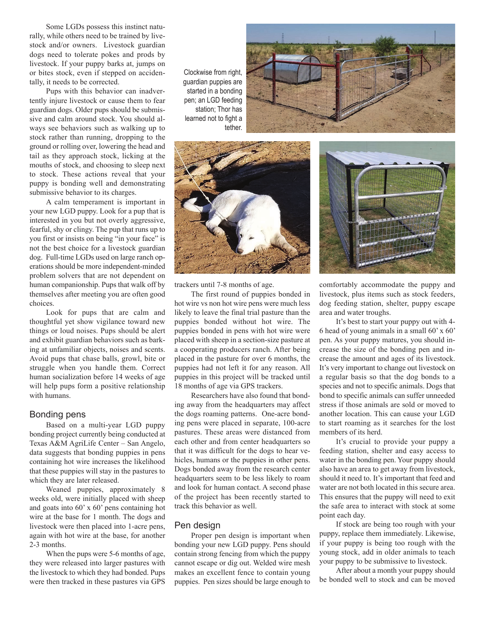Some LGDs possess this instinct naturally, while others need to be trained by livestock and/or owners. Livestock guardian dogs need to tolerate pokes and prods by livestock. If your puppy barks at, jumps on or bites stock, even if stepped on accidentally, it needs to be corrected.

Pups with this behavior can inadvertently injure livestock or cause them to fear guardian dogs. Older pups should be submissive and calm around stock. You should always see behaviors such as walking up to stock rather than running, dropping to the ground or rolling over, lowering the head and tail as they approach stock, licking at the mouths of stock, and choosing to sleep next to stock. These actions reveal that your puppy is bonding well and demonstrating submissive behavior to its charges.

A calm temperament is important in your new LGD puppy. Look for a pup that is interested in you but not overly aggressive, fearful, shy or clingy. The pup that runs up to you first or insists on being "in your face" is not the best choice for a livestock guardian dog. Full-time LGDs used on large ranch operations should be more independent-minded problem solvers that are not dependent on human companionship. Pups that walk off by themselves after meeting you are often good choices.

Look for pups that are calm and thoughtful yet show vigilance toward new things or loud noises. Pups should be alert and exhibit guardian behaviors such as barking at unfamiliar objects, noises and scents. Avoid pups that chase balls, growl, bite or struggle when you handle them. Correct human socialization before 14 weeks of age will help pups form a positive relationship with humans.

#### Bonding pens

Based on a multi-year LGD puppy bonding project currently being conducted at Texas A&M AgriLife Center – San Angelo, data suggests that bonding puppies in pens containing hot wire increases the likelihood that these puppies will stay in the pastures to which they are later released.

Weaned puppies, approximately 8 weeks old, were initially placed with sheep and goats into 60' x 60' pens containing hot wire at the base for 1 month. The dogs and livestock were then placed into 1-acre pens, again with hot wire at the base, for another 2-3 months.

When the pups were 5-6 months of age, they were released into larger pastures with the livestock to which they had bonded. Pups were then tracked in these pastures via GPS

Clockwise from right, guardian puppies are started in a bonding pen; an LGD feeding station; Thor has learned not to fight a tether.





trackers until 7-8 months of age.

The first round of puppies bonded in hot wire vs non hot wire pens were much less likely to leave the final trial pasture than the puppies bonded without hot wire. The puppies bonded in pens with hot wire were placed with sheep in a section-size pasture at a cooperating producers ranch. After being placed in the pasture for over 6 months, the puppies had not left it for any reason. All puppies in this project will be tracked until 18 months of age via GPS trackers.

Researchers have also found that bonding away from the headquarters may affect the dogs roaming patterns. One-acre bonding pens were placed in separate, 100-acre pastures. These areas were distanced from each other and from center headquarters so that it was difficult for the dogs to hear vehicles, humans or the puppies in other pens. Dogs bonded away from the research center headquarters seem to be less likely to roam and look for human contact. A second phase of the project has been recently started to track this behavior as well.

## Pen design

Proper pen design is important when bonding your new LGD puppy. Pens should contain strong fencing from which the puppy cannot escape or dig out. Welded wire mesh makes an excellent fence to contain young puppies. Pen sizes should be large enough to



comfortably accommodate the puppy and livestock, plus items such as stock feeders, dog feeding station, shelter, puppy escape area and water troughs.

It's best to start your puppy out with 4- 6 head of young animals in a small 60' x 60' pen. As your puppy matures, you should increase the size of the bonding pen and increase the amount and ages of its livestock. It's very important to change out livestock on a regular basis so that the dog bonds to a species and not to specific animals. Dogs that bond to specific animals can suffer unneeded stress if those animals are sold or moved to another location. This can cause your LGD to start roaming as it searches for the lost members of its herd.

It's crucial to provide your puppy a feeding station, shelter and easy access to water in the bonding pen. Your puppy should also have an area to get away from livestock, should it need to. It's important that feed and water are not both located in this secure area. This ensures that the puppy will need to exit the safe area to interact with stock at some point each day.

If stock are being too rough with your puppy, replace them immediately. Likewise, if your puppy is being too rough with the young stock, add in older animals to teach your puppy to be submissive to livestock.

After about a month your puppy should be bonded well to stock and can be moved